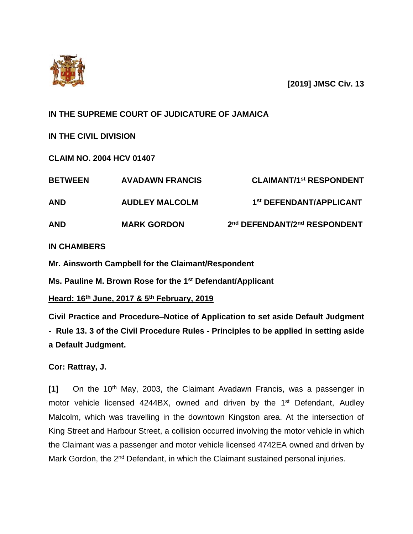

**[2019] JMSC Civ. 13**

## **IN THE SUPREME COURT OF JUDICATURE OF JAMAICA**

**IN THE CIVIL DIVISION**

**CLAIM NO. 2004 HCV 01407**

| <b>BETWEEN</b> | <b>AVADAWN FRANCIS</b> | <b>CLAIMANT/1st RESPONDENT</b>      |
|----------------|------------------------|-------------------------------------|
| <b>AND</b>     | <b>AUDLEY MALCOLM</b>  | 1 <sup>st</sup> DEFENDANT/APPLICANT |
| <b>AND</b>     | <b>MARK GORDON</b>     | 2nd DEFENDANT/2nd RESPONDENT        |

### **IN CHAMBERS**

**Mr. Ainsworth Campbell for the Claimant/Respondent**

**Ms. Pauline M. Brown Rose for the 1st Defendant/Applicant**

**Heard: 16th June, 2017 & 5th February, 2019**

**Civil Practice and ProcedureNotice of Application to set aside Default Judgment - Rule 13. 3 of the Civil Procedure Rules - Principles to be applied in setting aside a Default Judgment.**

**Cor: Rattray, J.**

[1] On the 10<sup>th</sup> May, 2003, the Claimant Avadawn Francis, was a passenger in motor vehicle licensed 4244BX, owned and driven by the 1<sup>st</sup> Defendant, Audley Malcolm, which was travelling in the downtown Kingston area. At the intersection of King Street and Harbour Street, a collision occurred involving the motor vehicle in which the Claimant was a passenger and motor vehicle licensed 4742EA owned and driven by Mark Gordon, the 2<sup>nd</sup> Defendant, in which the Claimant sustained personal injuries.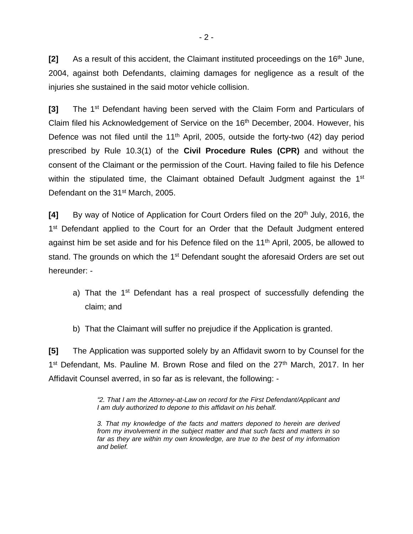[2] As a result of this accident, the Claimant instituted proceedings on the 16<sup>th</sup> June, 2004, against both Defendants, claiming damages for negligence as a result of the injuries she sustained in the said motor vehicle collision.

**[3]** The 1st Defendant having been served with the Claim Form and Particulars of Claim filed his Acknowledgement of Service on the 16<sup>th</sup> December, 2004. However, his Defence was not filed until the  $11<sup>th</sup>$  April, 2005, outside the forty-two (42) day period prescribed by Rule 10.3(1) of the **Civil Procedure Rules (CPR)** and without the consent of the Claimant or the permission of the Court. Having failed to file his Defence within the stipulated time, the Claimant obtained Default Judgment against the 1<sup>st</sup> Defendant on the 31<sup>st</sup> March, 2005.

**[4]** By way of Notice of Application for Court Orders filed on the 20<sup>th</sup> July, 2016, the 1<sup>st</sup> Defendant applied to the Court for an Order that the Default Judgment entered against him be set aside and for his Defence filed on the 11<sup>th</sup> April, 2005, be allowed to stand. The grounds on which the 1<sup>st</sup> Defendant sought the aforesaid Orders are set out hereunder: -

a) That the 1<sup>st</sup> Defendant has a real prospect of successfully defending the claim; and

b) That the Claimant will suffer no prejudice if the Application is granted.

**[5]** The Application was supported solely by an Affidavit sworn to by Counsel for the 1<sup>st</sup> Defendant, Ms. Pauline M. Brown Rose and filed on the 27<sup>th</sup> March, 2017. In her Affidavit Counsel averred, in so far as is relevant, the following: -

> *"2. That I am the Attorney-at-Law on record for the First Defendant/Applicant and I am duly authorized to depone to this affidavit on his behalf.*

> *3. That my knowledge of the facts and matters deponed to herein are derived from my involvement in the subject matter and that such facts and matters in so far as they are within my own knowledge, are true to the best of my information and belief.*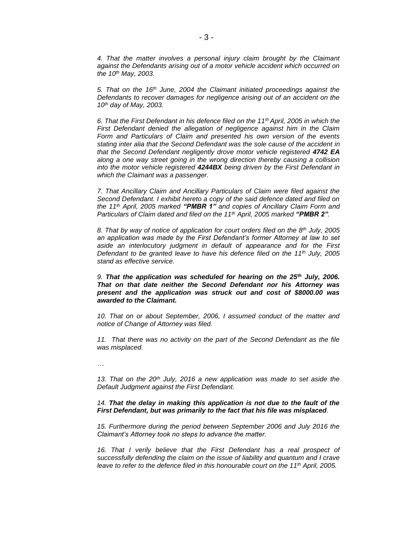*4. That the matter involves a personal injury claim brought by the Claimant against the Defendants arising out of a motor vehicle accident which occurred on the 10th May, 2003.*

*5. That on the 16th June, 2004 the Claimant initiated proceedings against the Defendants to recover damages for negligence arising out of an accident on the 10th day of May, 2003.*

*6. That the First Defendant in his defence filed on the 11th April, 2005 in which the First Defendant denied the allegation of negligence against him in the Claim Form and Particulars of Claim and presented his own version of the events stating inter alia that the Second Defendant was the sole cause of the accident in that the Second Defendant negligently drove motor vehicle registered 4742 EA along a one way street going in the wrong direction thereby causing a collision into the motor vehicle registered 4244BX being driven by the First Defendant in which the Claimant was a passenger.*

*7. That Ancillary Claim and Ancillary Particulars of Claim were filed against the Second Defendant. I exhibit hereto a copy of the said defence dated and filed on the 11th April, 2005 marked "PMBR 1" and copies of Ancillary Claim Form and Particulars of Claim dated and filed on the 11th April, 2005 marked "PMBR 2".*

*8. That by way of notice of application for court orders filed on the 8th July, 2005 an application was made by the First Defendant's former Attorney at law to set aside an interlocutory judgment in default of appearance and for the First Defendant to be granted leave to have his defence filed on the 11th July, 2005 stand as effective service.*

*9. That the application was scheduled for hearing on the 25th July, 2006. That on that date neither the Second Defendant nor his Attorney was present and the application was struck out and cost of \$8000.00 was awarded to the Claimant.*

*10. That on or about September, 2006, I assumed conduct of the matter and notice of Change of Attorney was filed.*

*11. That there was no activity on the part of the Second Defendant as the file was misplaced.*

*…*

*13. That on the 20th July, 2016 a new application was made to set aside the Default Judgment against the First Defendant.*

*14. That the delay in making this application is not due to the fault of the First Defendant, but was primarily to the fact that his file was misplaced.*

*15. Furthermore during the period between September 2006 and July 2016 the Claimant's Attorney took no steps to advance the matter.*

16. That I verily believe that the First Defendant has a real prospect of *successfully defending the claim on the issue of liability and quantum and I crave leave to refer to the defence filed in this honourable court on the 11th April, 2005.*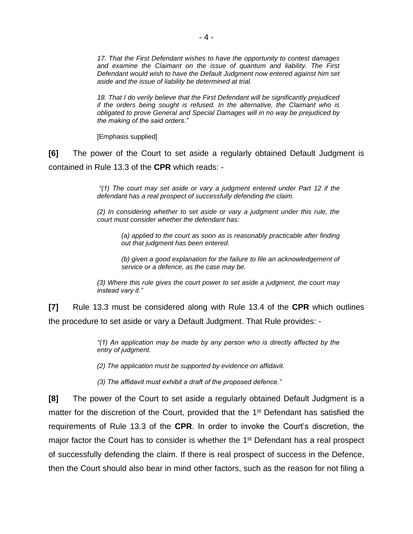*17. That the First Defendant wishes to have the opportunity to contest damages and examine the Claimant on the issue of quantum and liability. The First Defendant would wish to have the Default Judgment now entered against him set aside and the issue of liability be determined at trial.*

*18. That I do verily believe that the First Defendant will be significantly prejudiced if the orders being sought is refused. In the alternative, the Claimant who is obligated to prove General and Special Damages will in no way be prejudiced by the making of the said orders."* 

[Emphasis supplied]

**[6]** The power of the Court to set aside a regularly obtained Default Judgment is contained in Rule 13.3 of the **CPR** which reads: -

> *"(1) The court may set aside or vary a judgment entered under Part 12 if the defendant has a real prospect of successfully defending the claim.*

> *(2) In considering whether to set aside or vary a judgment under this rule, the court must consider whether the defendant has:*

*(a) applied to the court as soon as is reasonably practicable after finding out that judgment has been entered.*

*(b) given a good explanation for the failure to file an acknowledgement of service or a defence, as the case may be.*

*(3) Where this rule gives the court power to set aside a judgment, the court may instead vary it."*

**[7]** Rule 13.3 must be considered along with Rule 13.4 of the **CPR** which outlines the procedure to set aside or vary a Default Judgment. That Rule provides: -

> *"(1) An application may be made by any person who is directly affected by the entry of judgment.*

*(2) The application must be supported by evidence on affidavit.*

*(3) The affidavit must exhibit a draft of the proposed defence."*

**[8]** The power of the Court to set aside a regularly obtained Default Judgment is a matter for the discretion of the Court, provided that the 1<sup>st</sup> Defendant has satisfied the requirements of Rule 13.3 of the **CPR**. In order to invoke the Court's discretion, the major factor the Court has to consider is whether the 1<sup>st</sup> Defendant has a real prospect of successfully defending the claim. If there is real prospect of success in the Defence, then the Court should also bear in mind other factors, such as the reason for not filing a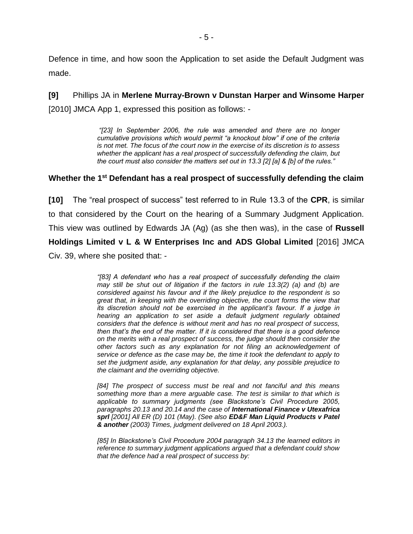Defence in time, and how soon the Application to set aside the Default Judgment was made.

**[9]** Phillips JA in **Merlene Murray-Brown v Dunstan Harper and Winsome Harper** [2010] JMCA App 1, expressed this position as follows: -

> *"[23] In September 2006, the rule was amended and there are no longer cumulative provisions which would permit "a knockout blow" if one of the criteria is not met. The focus of the court now in the exercise of its discretion is to assess whether the applicant has a real prospect of successfully defending the claim, but the court must also consider the matters set out in 13.3 [2] [a] & [b] of the rules."*

#### **Whether the 1 st Defendant has a real prospect of successfully defending the claim**

**[10]** The "real prospect of success" test referred to in Rule 13.3 of the **CPR**, is similar to that considered by the Court on the hearing of a Summary Judgment Application. This view was outlined by Edwards JA (Ag) (as she then was), in the case of **Russell Holdings Limited v L & W Enterprises Inc and ADS Global Limited** [2016] JMCA Civ. 39, where she posited that: -

> *"[83] A defendant who has a real prospect of successfully defending the claim may still be shut out of litigation if the factors in rule 13.3(2) (a) and (b) are considered against his favour and if the likely prejudice to the respondent is so great that, in keeping with the overriding objective, the court forms the view that its discretion should not be exercised in the applicant's favour. If a judge in hearing an application to set aside a default judgment regularly obtained considers that the defence is without merit and has no real prospect of success, then that's the end of the matter. If it is considered that there is a good defence on the merits with a real prospect of success, the judge should then consider the other factors such as any explanation for not filing an acknowledgement of service or defence as the case may be, the time it took the defendant to apply to set the judgment aside, any explanation for that delay, any possible prejudice to the claimant and the overriding objective.*

> *[84] The prospect of success must be real and not fanciful and this means something more than a mere arguable case. The test is similar to that which is applicable to summary judgments (see Blackstone's Civil Procedure 2005, paragraphs 20.13 and 20.14 and the case of International Finance v Utexafrica sprl [2001] All ER (D) 101 (May). (See also ED&F Man Liquid Products v Patel & another (2003) Times, judgment delivered on 18 April 2003.).*

> *[85] In Blackstone's Civil Procedure 2004 paragraph 34.13 the learned editors in reference to summary judgment applications argued that a defendant could show that the defence had a real prospect of success by:*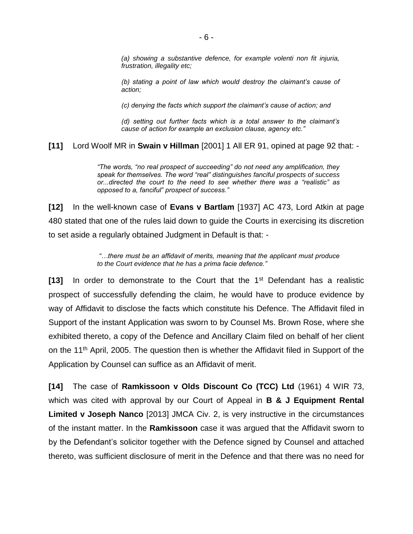*(a) showing a substantive defence, for example volenti non fit injuria, frustration, illegality etc;* 

*(b) stating a point of law which would destroy the claimant's cause of action;* 

*(c) denying the facts which support the claimant's cause of action; and* 

*(d) setting out further facts which is a total answer to the claimant's cause of action for example an exclusion clause, agency etc."*

**[11]** Lord Woolf MR in **Swain v Hillman** [2001] 1 All ER 91, opined at page 92 that: -

*"The words, "no real prospect of succeeding" do not need any amplification, they speak for themselves. The word "real" distinguishes fanciful prospects of success or...directed the court to the need to see whether there was a "realistic" as opposed to a, fanciful" prospect of success."*

**[12]** In the well-known case of **Evans v Bartlam** [1937] AC 473, Lord Atkin at page 480 stated that one of the rules laid down to guide the Courts in exercising its discretion to set aside a regularly obtained Judgment in Default is that: -

> *"…there must be an affidavit of merits, meaning that the applicant must produce to the Court evidence that he has a prima facie defence."*

**[13]** In order to demonstrate to the Court that the 1st Defendant has a realistic prospect of successfully defending the claim, he would have to produce evidence by way of Affidavit to disclose the facts which constitute his Defence. The Affidavit filed in Support of the instant Application was sworn to by Counsel Ms. Brown Rose, where she exhibited thereto, a copy of the Defence and Ancillary Claim filed on behalf of her client on the 11<sup>th</sup> April, 2005. The question then is whether the Affidavit filed in Support of the Application by Counsel can suffice as an Affidavit of merit.

**[14]** The case of **Ramkissoon v Olds Discount Co (TCC) Ltd** (1961) 4 WIR 73, which was cited with approval by our Court of Appeal in **B & J Equipment Rental Limited v Joseph Nanco** [2013] JMCA Civ. 2, is very instructive in the circumstances of the instant matter. In the **Ramkissoon** case it was argued that the Affidavit sworn to by the Defendant's solicitor together with the Defence signed by Counsel and attached thereto, was sufficient disclosure of merit in the Defence and that there was no need for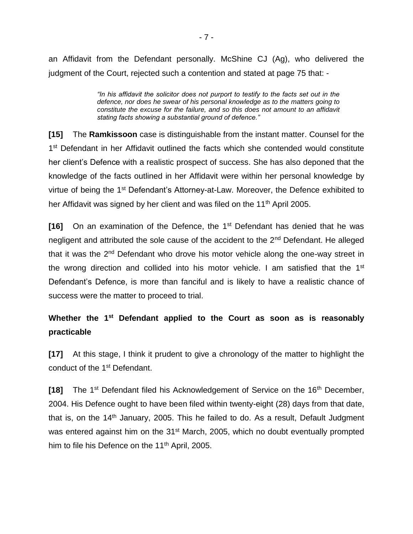an Affidavit from the Defendant personally. McShine CJ (Ag), who delivered the judgment of the Court, rejected such a contention and stated at page 75 that: -

> *"In his affidavit the solicitor does not purport to testify to the facts set out in the defence, nor does he swear of his personal knowledge as to the matters going to constitute the excuse for the failure, and so this does not amount to an affidavit stating facts showing a substantial ground of defence."*

**[15]** The **Ramkissoon** case is distinguishable from the instant matter. Counsel for the 1<sup>st</sup> Defendant in her Affidavit outlined the facts which she contended would constitute her client's Defence with a realistic prospect of success. She has also deponed that the knowledge of the facts outlined in her Affidavit were within her personal knowledge by virtue of being the 1<sup>st</sup> Defendant's Attorney-at-Law. Moreover, the Defence exhibited to her Affidavit was signed by her client and was filed on the 11<sup>th</sup> April 2005.

**[16]** On an examination of the Defence, the 1st Defendant has denied that he was negligent and attributed the sole cause of the accident to the 2nd Defendant. He alleged that it was the 2<sup>nd</sup> Defendant who drove his motor vehicle along the one-way street in the wrong direction and collided into his motor vehicle. I am satisfied that the  $1<sup>st</sup>$ Defendant's Defence, is more than fanciful and is likely to have a realistic chance of success were the matter to proceed to trial.

# Whether the 1<sup>st</sup> Defendant applied to the Court as soon as is reasonably **practicable**

**[17]** At this stage, I think it prudent to give a chronology of the matter to highlight the conduct of the 1<sup>st</sup> Defendant.

**[18]** The 1<sup>st</sup> Defendant filed his Acknowledgement of Service on the 16<sup>th</sup> December, 2004. His Defence ought to have been filed within twenty-eight (28) days from that date, that is, on the 14<sup>th</sup> January, 2005. This he failed to do. As a result, Default Judgment was entered against him on the 31<sup>st</sup> March, 2005, which no doubt eventually prompted him to file his Defence on the 11<sup>th</sup> April, 2005.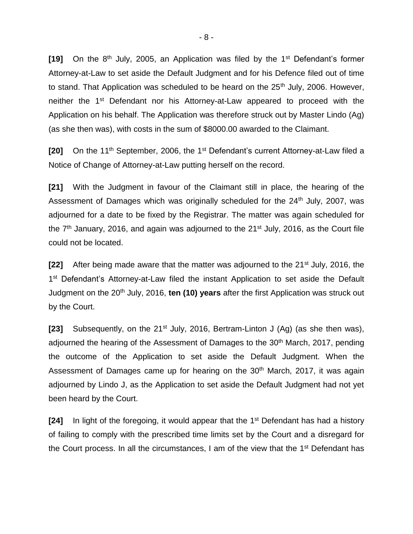**[19]** On the 8th July, 2005, an Application was filed by the 1st Defendant's former Attorney-at-Law to set aside the Default Judgment and for his Defence filed out of time to stand. That Application was scheduled to be heard on the 25<sup>th</sup> July, 2006. However, neither the 1<sup>st</sup> Defendant nor his Attorney-at-Law appeared to proceed with the Application on his behalf. The Application was therefore struck out by Master Lindo (Ag) (as she then was), with costs in the sum of \$8000.00 awarded to the Claimant.

**[20]** On the 11<sup>th</sup> September, 2006, the 1<sup>st</sup> Defendant's current Attorney-at-Law filed a Notice of Change of Attorney-at-Law putting herself on the record.

**[21]** With the Judgment in favour of the Claimant still in place, the hearing of the Assessment of Damages which was originally scheduled for the 24<sup>th</sup> July, 2007, was adjourned for a date to be fixed by the Registrar. The matter was again scheduled for the  $7<sup>th</sup>$  January, 2016, and again was adjourned to the  $21<sup>st</sup>$  July, 2016, as the Court file could not be located.

**[22]** After being made aware that the matter was adjourned to the 21<sup>st</sup> July, 2016, the 1<sup>st</sup> Defendant's Attorney-at-Law filed the instant Application to set aside the Default Judgment on the 20<sup>th</sup> July, 2016, **ten (10) years** after the first Application was struck out by the Court.

**[23]** Subsequently, on the 21<sup>st</sup> July, 2016, Bertram-Linton J (Ag) (as she then was), adjourned the hearing of the Assessment of Damages to the 30<sup>th</sup> March, 2017, pending the outcome of the Application to set aside the Default Judgment. When the Assessment of Damages came up for hearing on the 30<sup>th</sup> March, 2017, it was again adjourned by Lindo J, as the Application to set aside the Default Judgment had not yet been heard by the Court.

**[24]** In light of the foregoing, it would appear that the 1<sup>st</sup> Defendant has had a history of failing to comply with the prescribed time limits set by the Court and a disregard for the Court process. In all the circumstances, I am of the view that the 1<sup>st</sup> Defendant has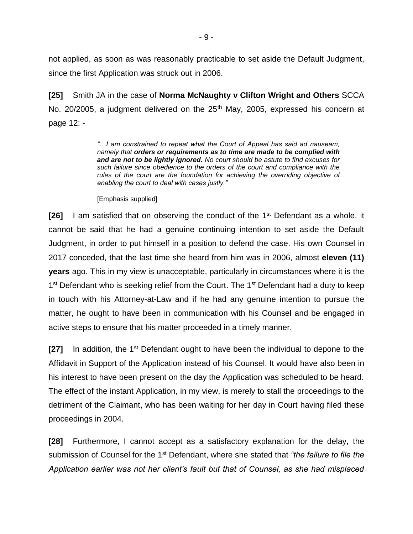not applied, as soon as was reasonably practicable to set aside the Default Judgment, since the first Application was struck out in 2006.

**[25]** Smith JA in the case of **Norma McNaughty v Clifton Wright and Others** SCCA No. 20/2005, a judgment delivered on the 25<sup>th</sup> May, 2005, expressed his concern at page 12: -

> *"…I am constrained to repeat what the Court of Appeal has said ad nauseam, namely that orders or requirements as to time are made to be complied with and are not to be lightly ignored. No court should be astute to find excuses for such failure since obedience to the orders of the court and compliance with the*  rules of the court are the foundation for achieving the overriding objective of *enabling the court to deal with cases justly."*

[Emphasis supplied]

**[26]** I am satisfied that on observing the conduct of the 1<sup>st</sup> Defendant as a whole, it cannot be said that he had a genuine continuing intention to set aside the Default Judgment, in order to put himself in a position to defend the case. His own Counsel in 2017 conceded, that the last time she heard from him was in 2006, almost **eleven (11) years** ago. This in my view is unacceptable, particularly in circumstances where it is the 1<sup>st</sup> Defendant who is seeking relief from the Court. The 1<sup>st</sup> Defendant had a duty to keep in touch with his Attorney-at-Law and if he had any genuine intention to pursue the matter, he ought to have been in communication with his Counsel and be engaged in active steps to ensure that his matter proceeded in a timely manner.

**[27]** In addition, the 1<sup>st</sup> Defendant ought to have been the individual to depone to the Affidavit in Support of the Application instead of his Counsel. It would have also been in his interest to have been present on the day the Application was scheduled to be heard. The effect of the instant Application, in my view, is merely to stall the proceedings to the detriment of the Claimant, who has been waiting for her day in Court having filed these proceedings in 2004.

**[28]** Furthermore, I cannot accept as a satisfactory explanation for the delay, the submission of Counsel for the 1st Defendant, where she stated that *"the failure to file the Application earlier was not her client's fault but that of Counsel, as she had misplaced*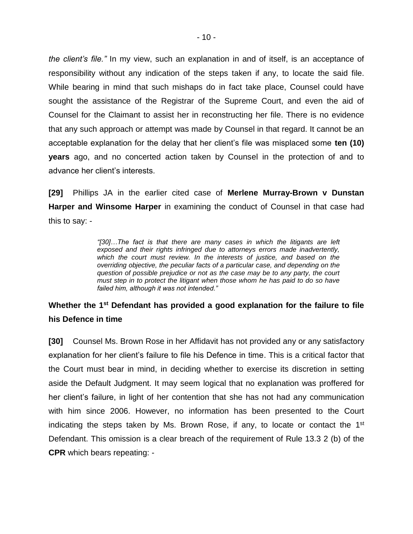*the client's file."* In my view, such an explanation in and of itself, is an acceptance of responsibility without any indication of the steps taken if any, to locate the said file. While bearing in mind that such mishaps do in fact take place, Counsel could have sought the assistance of the Registrar of the Supreme Court, and even the aid of Counsel for the Claimant to assist her in reconstructing her file. There is no evidence that any such approach or attempt was made by Counsel in that regard. It cannot be an acceptable explanation for the delay that her client's file was misplaced some **ten (10) years** ago, and no concerted action taken by Counsel in the protection of and to advance her client's interests.

**[29]** Phillips JA in the earlier cited case of **Merlene Murray-Brown v Dunstan Harper and Winsome Harper** in examining the conduct of Counsel in that case had this to say: -

> *"[30]…The fact is that there are many cases in which the litigants are left exposed and their rights infringed due to attorneys errors made inadvertently,*  which the court must review. In the interests of justice, and based on the *overriding objective, the peculiar facts of a particular case, and depending on the question of possible prejudice or not as the case may be to any party, the court must step in to protect the litigant when those whom he has paid to do so have failed him, although it was not intended."*

## Whether the 1<sup>st</sup> Defendant has provided a good explanation for the failure to file **his Defence in time**

**[30]** Counsel Ms. Brown Rose in her Affidavit has not provided any or any satisfactory explanation for her client's failure to file his Defence in time. This is a critical factor that the Court must bear in mind, in deciding whether to exercise its discretion in setting aside the Default Judgment. It may seem logical that no explanation was proffered for her client's failure, in light of her contention that she has not had any communication with him since 2006. However, no information has been presented to the Court indicating the steps taken by Ms. Brown Rose, if any, to locate or contact the 1<sup>st</sup> Defendant. This omission is a clear breach of the requirement of Rule 13.3 2 (b) of the **CPR** which bears repeating: -